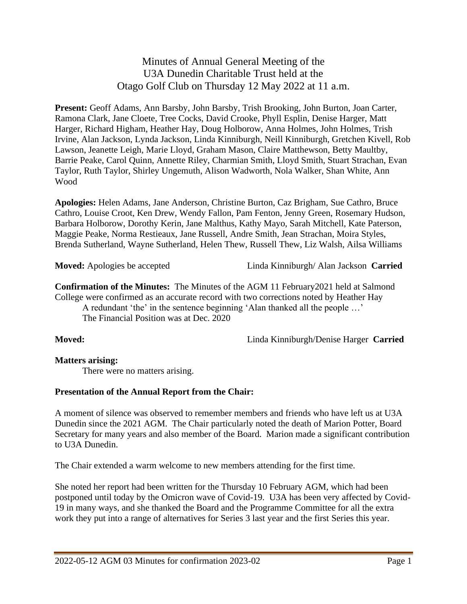Minutes of Annual General Meeting of the U3A Dunedin Charitable Trust held at the Otago Golf Club on Thursday 12 May 2022 at 11 a.m.

**Present:** Geoff Adams, Ann Barsby, John Barsby, Trish Brooking, John Burton, Joan Carter, Ramona Clark, Jane Cloete, Tree Cocks, David Crooke, Phyll Esplin, Denise Harger, Matt Harger, Richard Higham, Heather Hay, Doug Holborow, Anna Holmes, John Holmes, Trish Irvine, Alan Jackson, Lynda Jackson, Linda Kinniburgh, Neill Kinniburgh, Gretchen Kivell, Rob Lawson, Jeanette Leigh, Marie Lloyd, Graham Mason, Claire Matthewson, Betty Maultby, Barrie Peake, Carol Quinn, Annette Riley, Charmian Smith, Lloyd Smith, Stuart Strachan, Evan Taylor, Ruth Taylor, Shirley Ungemuth, Alison Wadworth, Nola Walker, Shan White, Ann Wood

**Apologies:** Helen Adams, Jane Anderson, Christine Burton, Caz Brigham, Sue Cathro, Bruce Cathro, Louise Croot, Ken Drew, Wendy Fallon, Pam Fenton, Jenny Green, Rosemary Hudson, Barbara Holborow, Dorothy Kerin, Jane Malthus, Kathy Mayo, Sarah Mitchell, Kate Paterson, Maggie Peake, Norma Restieaux, Jane Russell, Andre Smith, Jean Strachan, Moira Styles, Brenda Sutherland, Wayne Sutherland, Helen Thew, Russell Thew, Liz Walsh, Ailsa Williams

**Moved:** Apologies be accepted Linda Kinniburgh/ Alan Jackson **Carried**

**Confirmation of the Minutes:** The Minutes of the AGM 11 February2021 held at Salmond College were confirmed as an accurate record with two corrections noted by Heather Hay A redundant 'the' in the sentence beginning 'Alan thanked all the people …'

The Financial Position was at Dec. 2020

**Moved:** Linda Kinniburgh/Denise Harger **Carried**

### **Matters arising:**

There were no matters arising.

### **Presentation of the Annual Report from the Chair:**

A moment of silence was observed to remember members and friends who have left us at U3A Dunedin since the 2021 AGM. The Chair particularly noted the death of Marion Potter, Board Secretary for many years and also member of the Board. Marion made a significant contribution to U3A Dunedin.

The Chair extended a warm welcome to new members attending for the first time.

She noted her report had been written for the Thursday 10 February AGM, which had been postponed until today by the Omicron wave of Covid-19. U3A has been very affected by Covid-19 in many ways, and she thanked the Board and the Programme Committee for all the extra work they put into a range of alternatives for Series 3 last year and the first Series this year.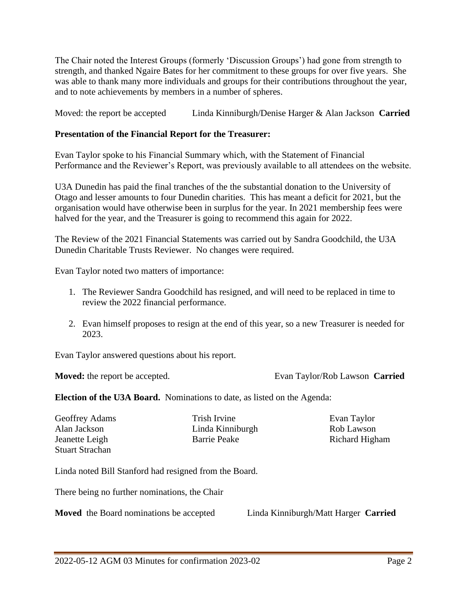The Chair noted the Interest Groups (formerly 'Discussion Groups') had gone from strength to strength, and thanked Ngaire Bates for her commitment to these groups for over five years. She was able to thank many more individuals and groups for their contributions throughout the year, and to note achievements by members in a number of spheres.

Moved: the report be accepted Linda Kinniburgh/Denise Harger & Alan Jackson **Carried**

## **Presentation of the Financial Report for the Treasurer:**

Evan Taylor spoke to his Financial Summary which, with the Statement of Financial Performance and the Reviewer's Report, was previously available to all attendees on the website.

U3A Dunedin has paid the final tranches of the the substantial donation to the University of Otago and lesser amounts to four Dunedin charities. This has meant a deficit for 2021, but the organisation would have otherwise been in surplus for the year. In 2021 membership fees were halved for the year, and the Treasurer is going to recommend this again for 2022.

The Review of the 2021 Financial Statements was carried out by Sandra Goodchild, the U3A Dunedin Charitable Trusts Reviewer. No changes were required.

Evan Taylor noted two matters of importance:

- 1. The Reviewer Sandra Goodchild has resigned, and will need to be replaced in time to review the 2022 financial performance.
- 2. Evan himself proposes to resign at the end of this year, so a new Treasurer is needed for 2023.

Evan Taylor answered questions about his report.

**Moved:** the report be accepted. Evan Taylor/Rob Lawson **Carried**

**Election of the U3A Board.** Nominations to date, as listed on the Agenda:

Alan Jackson Linda Kinniburgh Rob Lawson Jeanette Leigh Barrie Peake Richard Higham Stuart Strachan

Geoffrey Adams Trish Irvine Evan Taylor

Linda noted Bill Stanford had resigned from the Board.

There being no further nominations, the Chair

**Moved** the Board nominations be accepted Linda Kinniburgh/Matt Harger **Carried**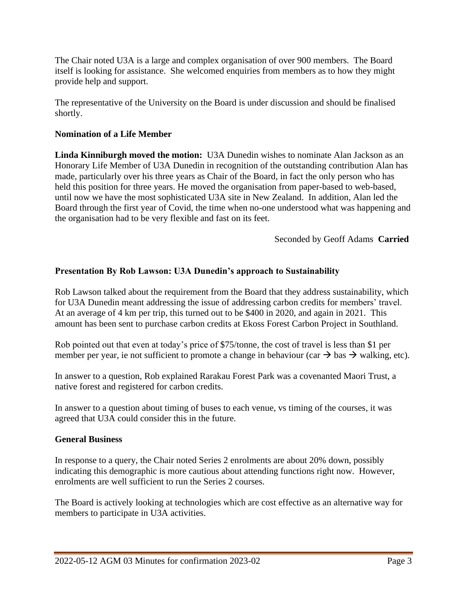The Chair noted U3A is a large and complex organisation of over 900 members. The Board itself is looking for assistance. She welcomed enquiries from members as to how they might provide help and support.

The representative of the University on the Board is under discussion and should be finalised shortly.

## **Nomination of a Life Member**

**Linda Kinniburgh moved the motion:** U3A Dunedin wishes to nominate Alan Jackson as an Honorary Life Member of U3A Dunedin in recognition of the outstanding contribution Alan has made, particularly over his three years as Chair of the Board, in fact the only person who has held this position for three years. He moved the organisation from paper-based to web-based, until now we have the most sophisticated U3A site in New Zealand. In addition, Alan led the Board through the first year of Covid, the time when no-one understood what was happening and the organisation had to be very flexible and fast on its feet.

Seconded by Geoff Adams **Carried**

## **Presentation By Rob Lawson: U3A Dunedin's approach to Sustainability**

Rob Lawson talked about the requirement from the Board that they address sustainability, which for U3A Dunedin meant addressing the issue of addressing carbon credits for members' travel. At an average of 4 km per trip, this turned out to be \$400 in 2020, and again in 2021. This amount has been sent to purchase carbon credits at Ekoss Forest Carbon Project in Southland.

Rob pointed out that even at today's price of \$75/tonne, the cost of travel is less than \$1 per member per year, ie not sufficient to promote a change in behaviour (car  $\rightarrow$  bas  $\rightarrow$  walking, etc).

In answer to a question, Rob explained Rarakau Forest Park was a covenanted Maori Trust, a native forest and registered for carbon credits.

In answer to a question about timing of buses to each venue, vs timing of the courses, it was agreed that U3A could consider this in the future.

### **General Business**

In response to a query, the Chair noted Series 2 enrolments are about 20% down, possibly indicating this demographic is more cautious about attending functions right now. However, enrolments are well sufficient to run the Series 2 courses.

The Board is actively looking at technologies which are cost effective as an alternative way for members to participate in U3A activities.